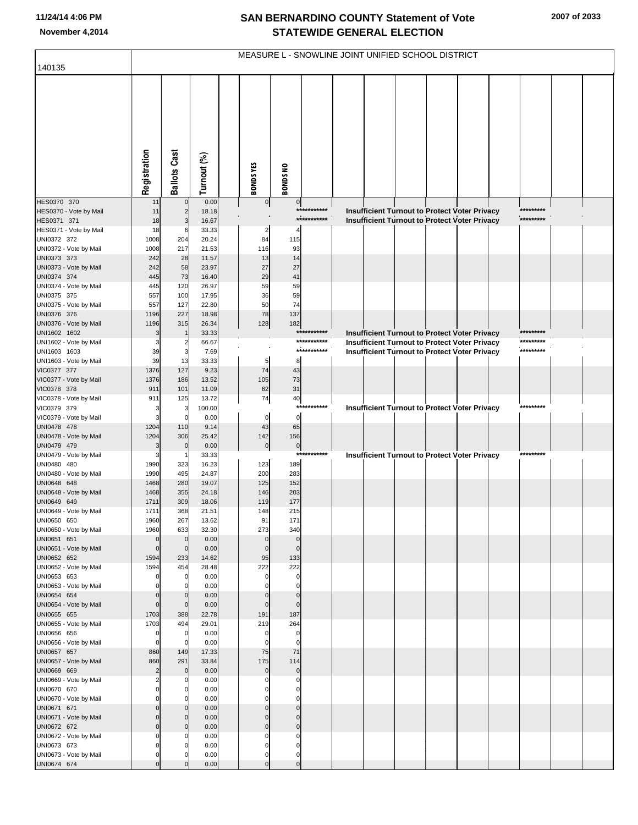## **SAN BERNARDINO COUNTY Statement of Vote November 4,2014 STATEWIDE GENERAL ELECTION**

|                                       | MEASURE L - SNOWLINE JOINT UNIFIED SCHOOL DISTRICT |                          |                |                   |                       |             |  |  |  |  |                                                      |  |           |  |
|---------------------------------------|----------------------------------------------------|--------------------------|----------------|-------------------|-----------------------|-------------|--|--|--|--|------------------------------------------------------|--|-----------|--|
| 140135                                |                                                    |                          |                |                   |                       |             |  |  |  |  |                                                      |  |           |  |
|                                       | Registration                                       | <b>Ballots Cast</b>      | Turnout (%)    | <b>BONDSYES</b>   | <b>BONDS NO</b>       |             |  |  |  |  |                                                      |  |           |  |
| HES0370 370                           | 11                                                 | $\overline{0}$           | 0.00           | $\overline{0}$    | $\overline{0}$        |             |  |  |  |  |                                                      |  |           |  |
| HES0370 - Vote by Mail                | 11                                                 | $\overline{2}$           | 18.18          |                   |                       | *********** |  |  |  |  | Insufficient Turnout to Protect Voter Privacy        |  | ********* |  |
| HES0371 371<br>HES0371 - Vote by Mail | 18<br>18                                           | 3<br>6                   | 16.67<br>33.33 | 2                 | 4                     | *********** |  |  |  |  | <b>Insufficient Turnout to Protect Voter Privacy</b> |  | ********* |  |
| UNI0372 372                           | 1008                                               | 204                      | 20.24          | 84                | 115                   |             |  |  |  |  |                                                      |  |           |  |
| UNI0372 - Vote by Mail                | 1008                                               | 217                      | 21.53          | 116               | 93                    |             |  |  |  |  |                                                      |  |           |  |
| UNI0373 373                           | 242                                                | 28                       | 11.57          | 13                | 14                    |             |  |  |  |  |                                                      |  |           |  |
| UNI0373 - Vote by Mail                | 242                                                | 58                       | 23.97          | 27                | 27                    |             |  |  |  |  |                                                      |  |           |  |
| UNI0374 374                           | 445                                                | 73                       | 16.40          | 29                | 41                    |             |  |  |  |  |                                                      |  |           |  |
| UNI0374 - Vote by Mail                | 445                                                | 120                      | 26.97          | 59                | 59                    |             |  |  |  |  |                                                      |  |           |  |
| UNI0375 375                           | 557                                                | 100                      | 17.95          | 36                | 59<br>74              |             |  |  |  |  |                                                      |  |           |  |
| UNI0375 - Vote by Mail<br>UNI0376 376 | 557<br>1196                                        | 127<br>227               | 22.80<br>18.98 | 50<br>78          | 137                   |             |  |  |  |  |                                                      |  |           |  |
| UNI0376 - Vote by Mail                | 1196                                               | 315                      | 26.34          | 128               | 182                   |             |  |  |  |  |                                                      |  |           |  |
| UNI1602 1602                          | 3                                                  |                          | 33.33          |                   |                       | *********** |  |  |  |  | Insufficient Turnout to Protect Voter Privacy        |  |           |  |
| UNI1602 - Vote by Mail                | 3                                                  |                          | 66.67          |                   |                       | *********** |  |  |  |  | <b>Insufficient Turnout to Protect Voter Privacy</b> |  | ********* |  |
| UNI1603 1603                          | 39                                                 | 3                        | 7.69           |                   |                       | *********** |  |  |  |  | Insufficient Turnout to Protect Voter Privacy        |  | ********* |  |
| UNI1603 - Vote by Mail                | 39                                                 | 13                       | 33.33          | 5                 | 8                     |             |  |  |  |  |                                                      |  |           |  |
| VIC0377 377                           | 1376                                               | 127                      | 9.23           | 74                | 43                    |             |  |  |  |  |                                                      |  |           |  |
| VIC0377 - Vote by Mail                | 1376                                               | 186                      | 13.52          | 105               | 73                    |             |  |  |  |  |                                                      |  |           |  |
| VIC0378 378<br>VIC0378 - Vote by Mail | 911<br>911                                         | 101<br>125               | 11.09<br>13.72 | 62<br>74          | 31<br>40              |             |  |  |  |  |                                                      |  |           |  |
| VIC0379 379                           | 3                                                  | 3                        | 100.00         |                   | $***$                 | ******      |  |  |  |  | Insufficient Turnout to Protect Voter Privacy        |  | ********* |  |
| VIC0379 - Vote by Mail                | 3                                                  | $\mathbf 0$              | 0.00           | $\mathbf 0$       | $\circ$               |             |  |  |  |  |                                                      |  |           |  |
| UNI0478 478                           | 1204                                               | 110                      | 9.14           | 43                | 65                    |             |  |  |  |  |                                                      |  |           |  |
| UNI0478 - Vote by Mail                | 1204                                               | 306                      | 25.42          | 142               | 156                   |             |  |  |  |  |                                                      |  |           |  |
| UNI0479 479                           | 3                                                  | $\Omega$                 | 0.00           | $\overline{0}$    | 0                     |             |  |  |  |  |                                                      |  |           |  |
| UNI0479 - Vote by Mail                | 3                                                  |                          | 33.33          |                   |                       | *********** |  |  |  |  | Insufficient Turnout to Protect Voter Privacy        |  | ********* |  |
| UNI0480 480                           | 1990                                               | 323                      | 16.23          | 123               | 189                   |             |  |  |  |  |                                                      |  |           |  |
| UNI0480 - Vote by Mail<br>UNI0648 648 | 1990<br>1468                                       | 495<br>280               | 24.87<br>19.07 | 200<br>125        | 283<br>152            |             |  |  |  |  |                                                      |  |           |  |
| UNI0648 - Vote by Mail                | 1468                                               | 355                      | 24.18          | 146               | 203                   |             |  |  |  |  |                                                      |  |           |  |
| UNI0649 649                           | 1711                                               | 309                      | 18.06          | 119               | 177                   |             |  |  |  |  |                                                      |  |           |  |
| UNI0649 - Vote by Mail                | 1711                                               | 368                      | 21.51          | 148               | 215                   |             |  |  |  |  |                                                      |  |           |  |
| UNI0650 650                           | 1960                                               | 267                      | 13.62          | 91                | 171                   |             |  |  |  |  |                                                      |  |           |  |
| UNI0650 - Vote by Mail                | 1960                                               | 633                      | 32.30          | 273               | 340                   |             |  |  |  |  |                                                      |  |           |  |
| UNI0651 651                           | $\mathbf 0$<br>$\mathbf 0$                         | $\mathbf 0$              | 0.00           | $\mathbf 0$       | $\mathbf 0$           |             |  |  |  |  |                                                      |  |           |  |
| UNI0651 - Vote by Mail<br>UNI0652 652 | 1594                                               | $\mathbf 0$<br>233       | 0.00<br>14.62  | $\mathbf 0$<br>95 | $\overline{0}$<br>133 |             |  |  |  |  |                                                      |  |           |  |
| UNI0652 - Vote by Mail                | 1594                                               | 454                      | 28.48          | 222               | 222                   |             |  |  |  |  |                                                      |  |           |  |
| UNI0653 653                           | $\Omega$                                           | 0                        | 0.00           | $\Omega$          | $\overline{0}$        |             |  |  |  |  |                                                      |  |           |  |
| UNI0653 - Vote by Mail                | $\Omega$                                           | 0                        | 0.00           |                   | 0                     |             |  |  |  |  |                                                      |  |           |  |
| UNI0654 654                           | $\Omega$                                           | $\Omega$                 | 0.00           |                   | $\mathbf 0$           |             |  |  |  |  |                                                      |  |           |  |
| UNI0654 - Vote by Mail                | $\mathbf 0$                                        | $\mathbf{0}$             | 0.00           | $\Omega$          | $\overline{0}$        |             |  |  |  |  |                                                      |  |           |  |
| UNI0655 655<br>UNI0655 - Vote by Mail | 1703<br>1703                                       | 388<br>494               | 22.78<br>29.01 | 191<br>219        | 187<br>264            |             |  |  |  |  |                                                      |  |           |  |
| UNI0656 656                           | $\mathbf 0$                                        | $\mathbf 0$              | 0.00           | $\Omega$          | 0                     |             |  |  |  |  |                                                      |  |           |  |
| UNI0656 - Vote by Mail                | $\mathbf 0$                                        | 0                        | 0.00           | $\Omega$          | $\mathbf 0$           |             |  |  |  |  |                                                      |  |           |  |
| UNI0657 657                           | 860                                                | 149                      | 17.33          | 75                | 71                    |             |  |  |  |  |                                                      |  |           |  |
| UNI0657 - Vote by Mail                | 860                                                | 291                      | 33.84          | 175               | 114                   |             |  |  |  |  |                                                      |  |           |  |
| UNI0669 669                           | $\overline{2}$                                     | $\mathbf 0$              | 0.00           | $\mathbf 0$       | $\circ$               |             |  |  |  |  |                                                      |  |           |  |
| UNI0669 - Vote by Mail                | $\overline{2}$                                     | 0                        | 0.00           |                   | $\mathbf 0$           |             |  |  |  |  |                                                      |  |           |  |
| UNI0670 670                           | $\epsilon$<br>$\Omega$                             | $\Omega$                 | 0.00           |                   | 0                     |             |  |  |  |  |                                                      |  |           |  |
| UNI0670 - Vote by Mail<br>UNI0671 671 | $\sqrt{2}$                                         | $\mathbf{0}$<br>$\Omega$ | 0.00<br>0.00   |                   | 0<br>$\mathbf 0$      |             |  |  |  |  |                                                      |  |           |  |
| UNI0671 - Vote by Mail                | ſ                                                  | $\overline{0}$           | 0.00           |                   | $\mathbf 0$           |             |  |  |  |  |                                                      |  |           |  |
| UNI0672 672                           | r                                                  | $\Omega$                 | 0.00           |                   | $\mathbf 0$           |             |  |  |  |  |                                                      |  |           |  |
| UNI0672 - Vote by Mail                |                                                    | O                        | 0.00           |                   | 0                     |             |  |  |  |  |                                                      |  |           |  |
| UNI0673 673                           | r                                                  |                          | 0.00           |                   | 0                     |             |  |  |  |  |                                                      |  |           |  |
| UNI0673 - Vote by Mail                | $\Omega$                                           | O                        | 0.00           | O                 | 0                     |             |  |  |  |  |                                                      |  |           |  |
| UNI0674 674                           | $\mathcal{C}$                                      |                          | 0.00           |                   |                       |             |  |  |  |  |                                                      |  |           |  |